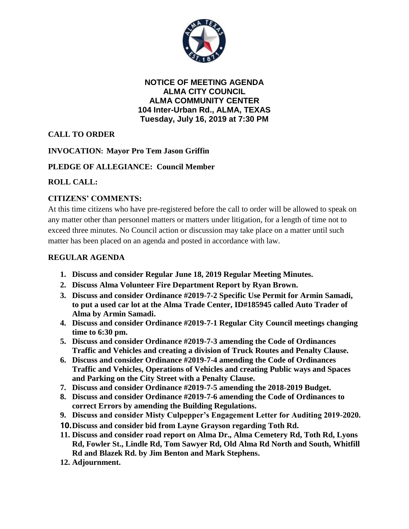

**NOTICE OF MEETING AGENDA ALMA CITY COUNCIL ALMA COMMUNITY CENTER 104 Inter-Urban Rd., ALMA, TEXAS Tuesday, July 16, 2019 at 7:30 PM**

# **CALL TO ORDER**

## **INVOCATION: Mayor Pro Tem Jason Griffin**

## **PLEDGE OF ALLEGIANCE: Council Member**

# **ROLL CALL:**

# **CITIZENS' COMMENTS:**

At this time citizens who have pre-registered before the call to order will be allowed to speak on any matter other than personnel matters or matters under litigation, for a length of time not to exceed three minutes. No Council action or discussion may take place on a matter until such matter has been placed on an agenda and posted in accordance with law.

## **REGULAR AGENDA**

- **1. Discuss and consider Regular June 18, 2019 Regular Meeting Minutes.**
- **2. Discuss Alma Volunteer Fire Department Report by Ryan Brown.**
- **3. Discuss and consider Ordinance #2019-7-2 Specific Use Permit for Armin Samadi, to put a used car lot at the Alma Trade Center, ID#185945 called Auto Trader of Alma by Armin Samadi.**
- **4. Discuss and consider Ordinance #2019-7-1 Regular City Council meetings changing time to 6:30 pm.**
- **5. Discuss and consider Ordinance #2019-7-3 amending the Code of Ordinances Traffic and Vehicles and creating a division of Truck Routes and Penalty Clause.**
- **6. Discuss and consider Ordinance #2019-7-4 amending the Code of Ordinances Traffic and Vehicles, Operations of Vehicles and creating Public ways and Spaces and Parking on the City Street with a Penalty Clause.**
- **7. Discuss and consider Ordinance #2019-7-5 amending the 2018-2019 Budget.**
- **8. Discuss and consider Ordinance #2019-7-6 amending the Code of Ordinances to correct Errors by amending the Building Regulations.**
- **9. Discuss and consider Misty Culpepper's Engagement Letter for Auditing 2019-2020.**
- **10.Discuss and consider bid from Layne Grayson regarding Toth Rd.**
- **11. Discuss and consider road report on Alma Dr., Alma Cemetery Rd, Toth Rd, Lyons Rd, Fowler St., Lindle Rd, Tom Sawyer Rd, Old Alma Rd North and South, Whitfill Rd and Blazek Rd. by Jim Benton and Mark Stephens.**
- **12. Adjournment.**